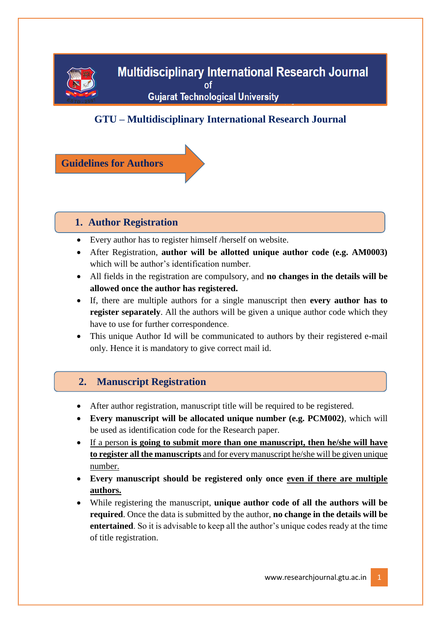

# **GTU – Multidisciplinary International Research Journal**

**Guidelines for Authors**

## **1. Author Registration**

- Every author has to register himself /herself on website.
- After Registration, **author will be allotted unique author code (e.g. AM0003)**  which will be author's identification number.
- All fields in the registration are compulsory, and **no changes in the details will be allowed once the author has registered.**
- If, there are multiple authors for a single manuscript then **every author has to register separately**. All the authors will be given a unique author code which they have to use for further correspondence.
- This unique Author Id will be communicated to authors by their registered e-mail only. Hence it is mandatory to give correct mail id.

## **2. Manuscript Registration**

- After author registration, manuscript title will be required to be registered.
- **Every manuscript will be allocated unique number (e.g. PCM002)**, which will be used as identification code for the Research paper.
- If a person **is going to submit more than one manuscript, then he/she will have to register all the manuscripts** and for every manuscript he/she will be given unique number.
- **Every manuscript should be registered only once even if there are multiple authors.**
- While registering the manuscript, **unique author code of all the authors will be required**. Once the data is submitted by the author, **no change in the details will be entertained**. So it is advisable to keep all the author's unique codes ready at the time of title registration.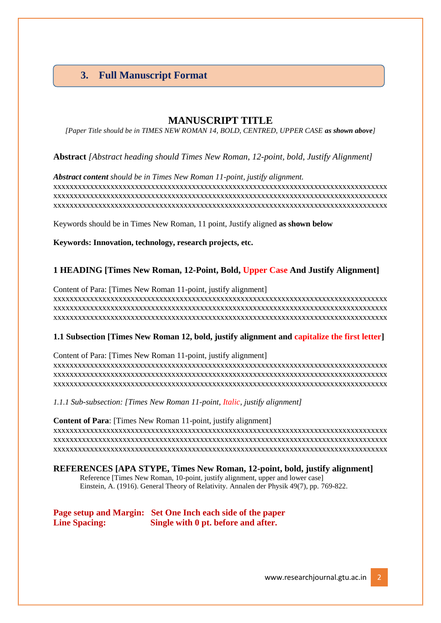# **3. Full Manuscript Format**

### **MANUSCRIPT TITLE**

*[Paper Title should be in TIMES NEW ROMAN 14, BOLD, CENTRED, UPPER CASE as shown above]*

**Abstract** *[Abstract heading should Times New Roman, 12-point, bold, Justify Alignment]*

*Abstract content should be in Times New Roman 11-point, justify alignment.* xxxxxxxxxxxxxxxxxxxxxxxxxxxxxxxxxxxxxxxxxxxxxxxxxxxxxxxxxxxxxxxxxxxxxxxxxxxxxxxxxx xxxxxxxxxxxxxxxxxxxxxxxxxxxxxxxxxxxxxxxxxxxxxxxxxxxxxxxxxxxxxxxxxxxxxxxxxxxxxxxxxx xxxxxxxxxxxxxxxxxxxxxxxxxxxxxxxxxxxxxxxxxxxxxxxxxxxxxxxxxxxxxxxxxxxxxxxxxxxxxxxxxx

Keywords should be in Times New Roman, 11 point, Justify aligned **as shown below**

**Keywords: Innovation, technology, research projects, etc.** 

#### **1 HEADING [Times New Roman, 12-Point, Bold, Upper Case And Justify Alignment]**

Content of Para: [Times New Roman 11-point, justify alignment] xxxxxxxxxxxxxxxxxxxxxxxxxxxxxxxxxxxxxxxxxxxxxxxxxxxxxxxxxxxxxxxxxxxxxxxxxxxxxxxxxx xxxxxxxxxxxxxxxxxxxxxxxxxxxxxxxxxxxxxxxxxxxxxxxxxxxxxxxxxxxxxxxxxxxxxxxxxxxxxxxxxx xxxxxxxxxxxxxxxxxxxxxxxxxxxxxxxxxxxxxxxxxxxxxxxxxxxxxxxxxxxxxxxxxxxxxxxxxxxxxxxxxx

#### **1.1 Subsection [Times New Roman 12, bold, justify alignment and capitalize the first letter]**

Content of Para: [Times New Roman 11-point, justify alignment] xxxxxxxxxxxxxxxxxxxxxxxxxxxxxxxxxxxxxxxxxxxxxxxxxxxxxxxxxxxxxxxxxxxxxxxxxxxxxxxxxx xxxxxxxxxxxxxxxxxxxxxxxxxxxxxxxxxxxxxxxxxxxxxxxxxxxxxxxxxxxxxxxxxxxxxxxxxxxxxxxxxx xxxxxxxxxxxxxxxxxxxxxxxxxxxxxxxxxxxxxxxxxxxxxxxxxxxxxxxxxxxxxxxxxxxxxxxxxxxxxxxxxx

*1.1.1 Sub-subsection: [Times New Roman 11-point, Italic, justify alignment]*

**Content of Para**: [Times New Roman 11-point, justify alignment] xxxxxxxxxxxxxxxxxxxxxxxxxxxxxxxxxxxxxxxxxxxxxxxxxxxxxxxxxxxxxxxxxxxxxxxxxxxxxxxxxx xxxxxxxxxxxxxxxxxxxxxxxxxxxxxxxxxxxxxxxxxxxxxxxxxxxxxxxxxxxxxxxxxxxxxxxxxxxxxxxxxx xxxxxxxxxxxxxxxxxxxxxxxxxxxxxxxxxxxxxxxxxxxxxxxxxxxxxxxxxxxxxxxxxxxxxxxxxxxxxxxxxx

**REFERENCES [APA STYPE, Times New Roman, 12-point, bold, justify alignment]** Reference [Times New Roman, 10-point, justify alignment, upper and lower case] Einstein, A. (1916). General Theory of Relativity. Annalen der Physik 49(7), pp. 769-822.

**Page setup and Margin: Set One Inch each side of the paper Line Spacing: Single with 0 pt. before and after.**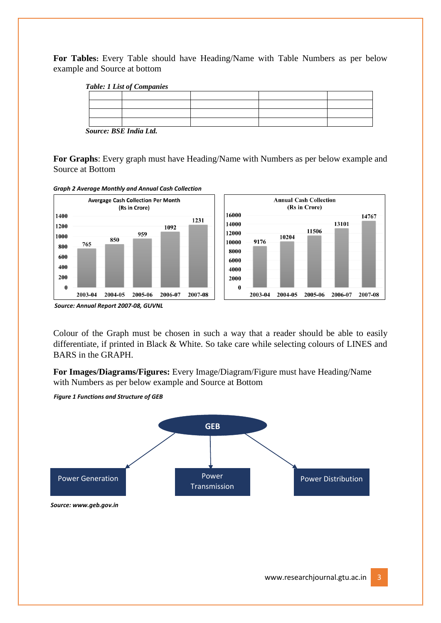**For Tables:** Every Table should have Heading/Name with Table Numbers as per below example and Source at bottom

| <b>Table: 1 List of Companies</b> |  |  |  |  |
|-----------------------------------|--|--|--|--|
|                                   |  |  |  |  |
|                                   |  |  |  |  |
|                                   |  |  |  |  |
|                                   |  |  |  |  |
| <b>DODY 11 F.I.</b><br>$\sim$     |  |  |  |  |

 *Source: BSE India Ltd.*

**For Graphs**: Every graph must have Heading/Name with Numbers as per below example and Source at Bottom



*Graph 2 Average Monthly and Annual Cash Collection* 

Colour of the Graph must be chosen in such a way that a reader should be able to easily differentiate, if printed in Black & White. So take care while selecting colours of LINES and BARS in the GRAPH.

**For Images/Diagrams/Figures:** Every Image/Diagram/Figure must have Heading/Name with Numbers as per below example and Source at Bottom